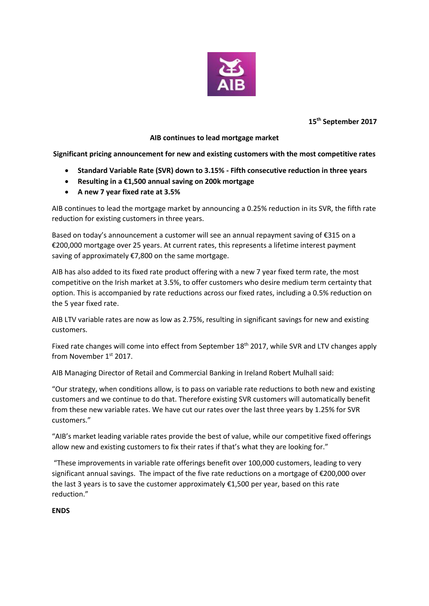

**15 th September 2017**

## **AIB continues to lead mortgage market**

**Significant pricing announcement for new and existing customers with the most competitive rates**

- **Standard Variable Rate (SVR) down to 3.15% - Fifth consecutive reduction in three years**
- **Resulting in a €1,500 annual saving on 200k mortgage**
- **A new 7 year fixed rate at 3.5%**

AIB continues to lead the mortgage market by announcing a 0.25% reduction in its SVR, the fifth rate reduction for existing customers in three years.

Based on today's announcement a customer will see an annual repayment saving of €315 on a €200,000 mortgage over 25 years. At current rates, this represents a lifetime interest payment saving of approximately €7,800 on the same mortgage.

AIB has also added to its fixed rate product offering with a new 7 year fixed term rate, the most competitive on the Irish market at 3.5%, to offer customers who desire medium term certainty that option. This is accompanied by rate reductions across our fixed rates, including a 0.5% reduction on the 5 year fixed rate.

AIB LTV variable rates are now as low as 2.75%, resulting in significant savings for new and existing customers.

Fixed rate changes will come into effect from September 18<sup>th</sup> 2017, while SVR and LTV changes apply from November 1st 2017.

AIB Managing Director of Retail and Commercial Banking in Ireland Robert Mulhall said:

"Our strategy, when conditions allow, is to pass on variable rate reductions to both new and existing customers and we continue to do that. Therefore existing SVR customers will automatically benefit from these new variable rates. We have cut our rates over the last three years by 1.25% for SVR customers."

"AIB's market leading variable rates provide the best of value, while our competitive fixed offerings allow new and existing customers to fix their rates if that's what they are looking for."

"These improvements in variable rate offerings benefit over 100,000 customers, leading to very significant annual savings. The impact of the five rate reductions on a mortgage of €200,000 over the last 3 years is to save the customer approximately €1,500 per year, based on this rate reduction."

# **ENDS**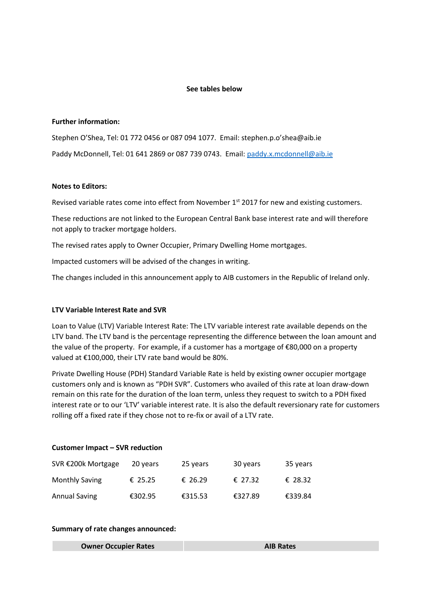### **See tables below**

### **Further information:**

Stephen O'Shea, Tel: 01 772 0456 or 087 094 1077. Email: stephen.p.o'shea@aib.ie Paddy McDonnell, Tel: 01 641 2869 or 087 739 0743. Email: [paddy.x.mcdonnell@aib.ie](mailto:paddy.x.mcdonnell@aib.ie)

### **Notes to Editors:**

Revised variable rates come into effect from November 1<sup>st</sup> 2017 for new and existing customers.

These reductions are not linked to the European Central Bank base interest rate and will therefore not apply to tracker mortgage holders.

The revised rates apply to Owner Occupier, Primary Dwelling Home mortgages.

Impacted customers will be advised of the changes in writing.

The changes included in this announcement apply to AIB customers in the Republic of Ireland only.

## **LTV Variable Interest Rate and SVR**

Loan to Value (LTV) Variable Interest Rate: The LTV variable interest rate available depends on the LTV band. The LTV band is the percentage representing the difference between the loan amount and the value of the property. For example, if a customer has a mortgage of €80,000 on a property valued at €100,000, their LTV rate band would be 80%.

Private Dwelling House (PDH) Standard Variable Rate is held by existing owner occupier mortgage customers only and is known as "PDH SVR". Customers who availed of this rate at loan draw-down remain on this rate for the duration of the loan term, unless they request to switch to a PDH fixed interest rate or to our 'LTV' variable interest rate. It is also the default reversionary rate for customers rolling off a fixed rate if they chose not to re-fix or avail of a LTV rate.

#### **Customer Impact – SVR reduction**

| SVR €200k Mortgage    | 20 years | 25 years | 30 years | 35 years |
|-----------------------|----------|----------|----------|----------|
| <b>Monthly Saving</b> | € 25.25  | € 26.29  | € 27.32  | € 28.32  |
| <b>Annual Saving</b>  | €302.95  | €315.53  | €327.89  | €339.84  |

#### **Summary of rate changes announced:**

| <b>Owner Occupier Rates</b> | <b>AIB Rates</b> |
|-----------------------------|------------------|
|-----------------------------|------------------|